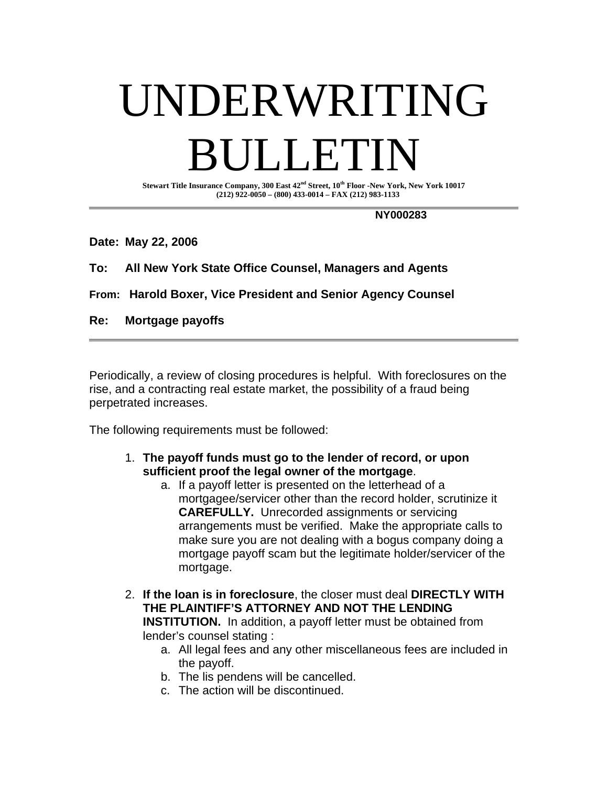## UNDERWRITING I JETT

**Stewart Title Insurance Company, 300 East 42nd Street, 10th Floor -New York, New York 10017 (212) 922-0050 – (800) 433-0014 – FAX (212) 983-1133** 

 **NY000283** 

**Date: May 22, 2006** 

**To: All New York State Office Counsel, Managers and Agents** 

**From: Harold Boxer, Vice President and Senior Agency Counsel** 

**Re: Mortgage payoffs** 

Periodically, a review of closing procedures is helpful. With foreclosures on the rise, and a contracting real estate market, the possibility of a fraud being perpetrated increases.

The following requirements must be followed:

- 1. **The payoff funds must go to the lender of record, or upon sufficient proof the legal owner of the mortgage**.
	- a. If a payoff letter is presented on the letterhead of a mortgagee/servicer other than the record holder, scrutinize it **CAREFULLY.** Unrecorded assignments or servicing arrangements must be verified. Make the appropriate calls to make sure you are not dealing with a bogus company doing a mortgage payoff scam but the legitimate holder/servicer of the mortgage.
- 2. **If the loan is in foreclosure**, the closer must deal **DIRECTLY WITH THE PLAINTIFF'S ATTORNEY AND NOT THE LENDING INSTITUTION.** In addition, a payoff letter must be obtained from lender's counsel stating :
	- a. All legal fees and any other miscellaneous fees are included in the payoff.
	- b. The lis pendens will be cancelled.
	- c. The action will be discontinued.